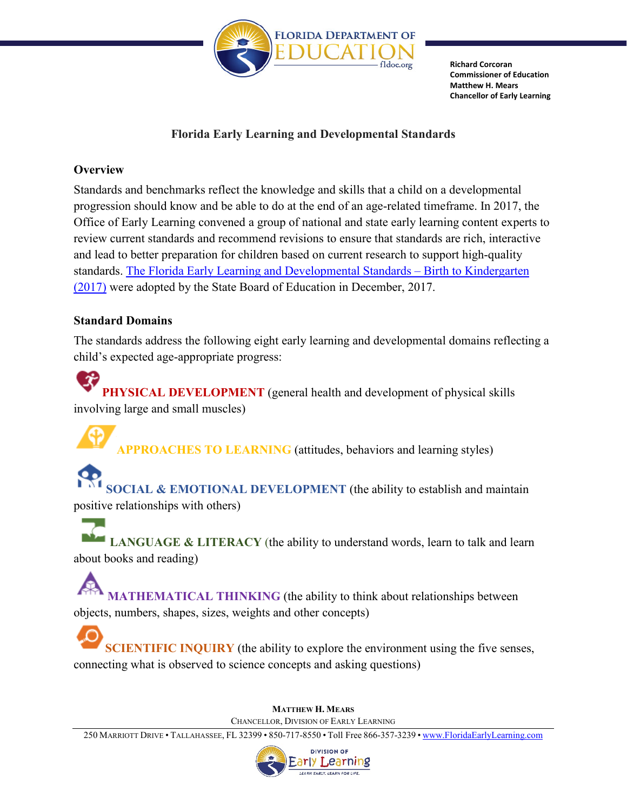

**Richard Corcoran Commissioner of Education Matthew H. Mears Chancellor of Early Learning** 

## **Florida Early Learning and Developmental Standards**

## **Overview**

 Office of Early Learning convened a group of national and state early learning content experts to standards. [The Florida Early Learning and Developmental Standards – Birth to Kindergarten](http://flbt5.floridaearlylearning.com/docs/EGBirthtoK.pdf)  [\(2017\)](http://flbt5.floridaearlylearning.com/docs/EGBirthtoK.pdf) were adopted by the State Board of Education in December, 2017. Standards and benchmarks reflect the knowledge and skills that a child on a developmental progression should know and be able to do at the end of an age-related timeframe. In 2017, the review current standards and recommend revisions to ensure that standards are rich, interactive and lead to better preparation for children based on current research to support high-quality

## **Standard Domains**

 The standards address the following eight early learning and developmental domains reflecting a child's expected age-appropriate progress:

**PHYSICAL DEVELOPMENT** (general health and development of physical skills involving large and small muscles)

**APPROACHES TO LEARNING** (attitudes, behaviors and learning styles)

 positive relationships with others) **SOCIAL & EMOTIONAL DEVELOPMENT** (the ability to establish and maintain

 about books and reading) **LANGUAGE & LITERACY** (the ability to understand words, learn to talk and learn

 objects, numbers, shapes, sizes, weights and other concepts) **MATHEMATICAL THINKING** (the ability to think about relationships between

 connecting what is observed to science concepts and asking questions) **SCIENTIFIC INQUIRY** (the ability to explore the environment using the five senses,

> CHANCELLOR, DIVISION OF EARLY LEARNING **MATTHEW H. MEARS**

250 MARRIOTT DRIVE • TALLAHASSEE, FL 32399 • 850-717-8550 • Toll Free 866-357-3239 [• www.FloridaEarlyLearning.com](http://www.floridaearlylearning.com/)